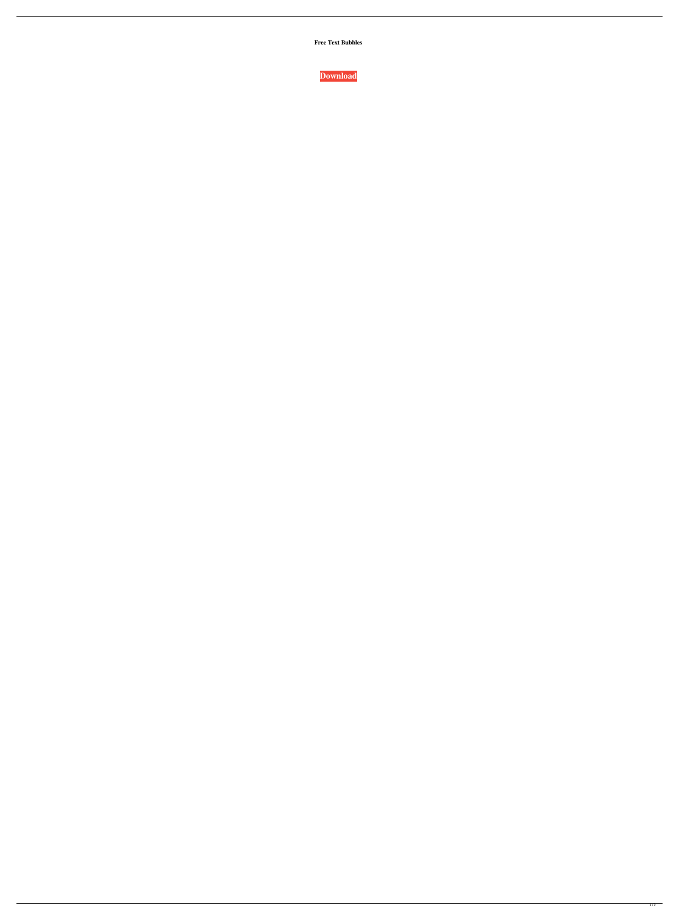**Free Text Bubbles**